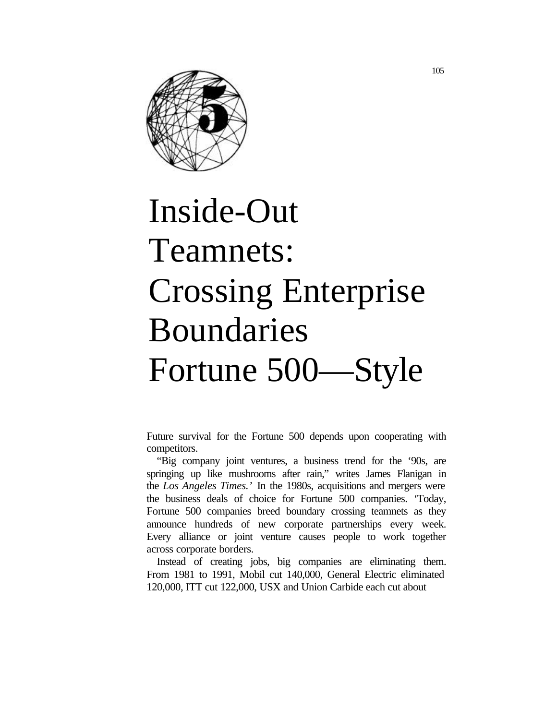

# Inside-Out Teamnets: Crossing Enterprise Boundaries Fortune 500—Style

Future survival for the Fortune 500 depends upon cooperating with competitors.

"Big company joint ventures, a business trend for the '90s, are springing up like mushrooms after rain," writes James Flanigan in the *Los Angeles Times.'* In the 1980s, acquisitions and mergers were the business deals of choice for Fortune 500 companies. 'Today, Fortune 500 companies breed boundary crossing teamnets as they announce hundreds of new corporate partnerships every week. Every alliance or joint venture causes people to work together across corporate borders.

Instead of creating jobs, big companies are eliminating them. From 1981 to 1991, Mobil cut 140,000, General Electric eliminated 120,000, ITT cut 122,000, USX and Union Carbide each cut about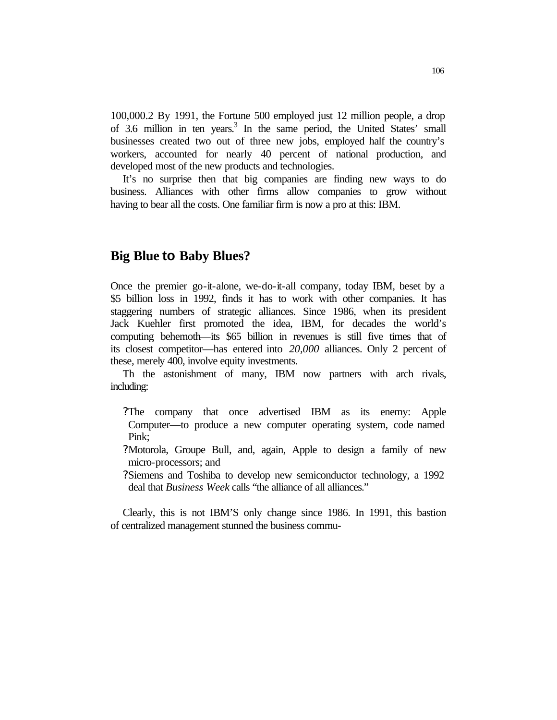100,000.2 By 1991, the Fortune 500 employed just 12 million people, a drop of 3.6 million in ten years.<sup>3</sup> In the same period, the United States' small businesses created two out of three new jobs, employed half the country's workers, accounted for nearly 40 percent of national production, and developed most of the new products and technologies.

It's no surprise then that big companies are finding new ways to do business. Alliances with other firms allow companies to grow without having to bear all the costs. One familiar firm is now a pro at this: IBM.

## **Big Blue to Baby Blues?**

Once the premier go-it-alone, we-do-it-all company, today IBM, beset by a \$5 billion loss in 1992, finds it has to work with other companies. It has staggering numbers of strategic alliances. Since 1986, when its president Jack Kuehler first promoted the idea, IBM, for decades the world's computing behemoth—its \$65 billion in revenues is still five times that of its closest competitor—has entered into *20,000* alliances. Only 2 percent of these, merely 400, involve equity investments.

Th the astonishment of many, IBM now partners with arch rivals, including:

- ?The company that once advertised IBM as its enemy: Apple Computer—to produce a new computer operating system, code named Pink;
- ?Motorola, Groupe Bull, and, again, Apple to design a family of new micro-processors; and
- ?Siemens and Toshiba to develop new semiconductor technology, a 1992 deal that *Business Week* calls "the alliance of all alliances."

Clearly, this is not IBM'S only change since 1986. In 1991, this bastion of centralized management stunned the business commu-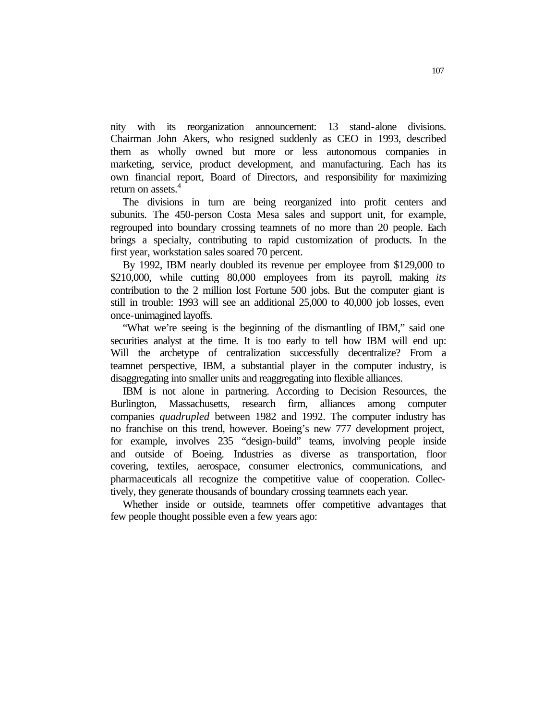nity with its reorganization announcement: 13 stand-alone divisions. Chairman John Akers, who resigned suddenly as CEO in 1993, described them as wholly owned but more or less autonomous companies in marketing, service, product development, and manufacturing. Each has its own financial report, Board of Directors, and responsibility for maximizing return on assets.<sup>4</sup>

The divisions in turn are being reorganized into profit centers and subunits. The 450-person Costa Mesa sales and support unit, for example, regrouped into boundary crossing teamnets of no more than 20 people. Each brings a specialty, contributing to rapid customization of products. In the first year, workstation sales soared 70 percent.

By 1992, IBM nearly doubled its revenue per employee from \$129,000 to \$210,000, while cutting 80,000 employees from its payroll, making *its*  contribution to the 2 million lost Fortune 500 jobs. But the computer giant is still in trouble: 1993 will see an additional 25,000 to 40,000 job losses, even once-unimagined layoffs.

"What we're seeing is the beginning of the dismantling of IBM," said one securities analyst at the time. It is too early to tell how IBM will end up: Will the archetype of centralization successfully decentralize? From a teamnet perspective, IBM, a substantial player in the computer industry, is disaggregating into smaller units and reaggregating into flexible alliances.

IBM is not alone in partnering. According to Decision Resources, the Burlington, Massachusetts, research firm, alliances among computer companies *quadrupled* between 1982 and 1992. The computer industry has no franchise on this trend, however. Boeing's new 777 development project, for example, involves 235 "design-build" teams, involving people inside and outside of Boeing. Industries as diverse as transportation, floor covering, textiles, aerospace, consumer electronics, communications, and pharmaceuticals all recognize the competitive value of cooperation. Collectively, they generate thousands of boundary crossing teamnets each year.

Whether inside or outside, teamnets offer competitive advantages that few people thought possible even a few years ago: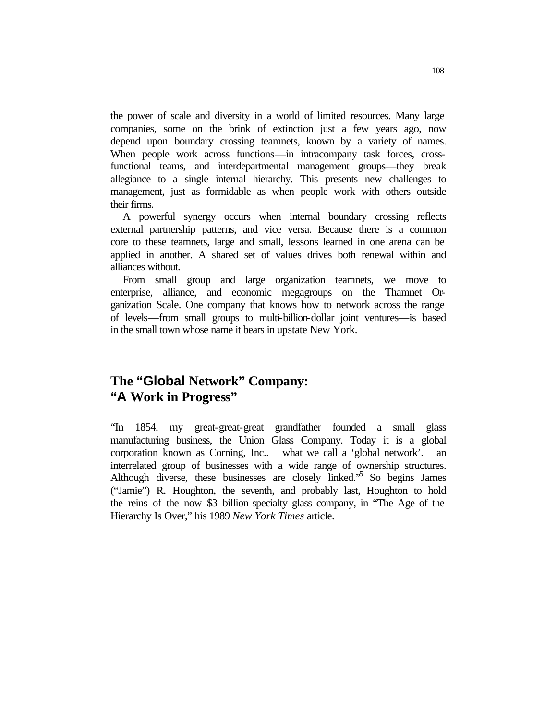the power of scale and diversity in a world of limited resources. Many large companies, some on the brink of extinction just a few years ago, now depend upon boundary crossing teamnets, known by a variety of names. When people work across functions—in intracompany task forces, crossfunctional teams, and interdepartmental management groups—they break allegiance to a single internal hierarchy. This presents new challenges to management, just as formidable as when people work with others outside their firms.

A powerful synergy occurs when internal boundary crossing reflects external partnership patterns, and vice versa. Because there is a common core to these teamnets, large and small, lessons learned in one arena can be applied in another. A shared set of values drives both renewal within and alliances without.

From small group and large organization teamnets, we move to enterprise, alliance, and economic megagroups on the Thamnet Organization Scale. One company that knows how to network across the range of levels—from small groups to multi-billion-dollar joint ventures—is based in the small town whose name it bears in upstate New York.

## **The "Global Network" Company: "A Work in Progress"**

"In 1854, my great-great-great grandfather founded a small glass manufacturing business, the Union Glass Company. Today it is a global corporation known as Corning, Inc... what we call a 'global network'. .. an interrelated group of businesses with a wide range of ownership structures. Although diverse, these businesses are closely linked.<sup>55</sup> So begins James ("Jamie") R. Houghton, the seventh, and probably last, Houghton to hold the reins of the now \$3 billion specialty glass company, in "The Age of the Hierarchy Is Over," his 1989 *New York Times* article.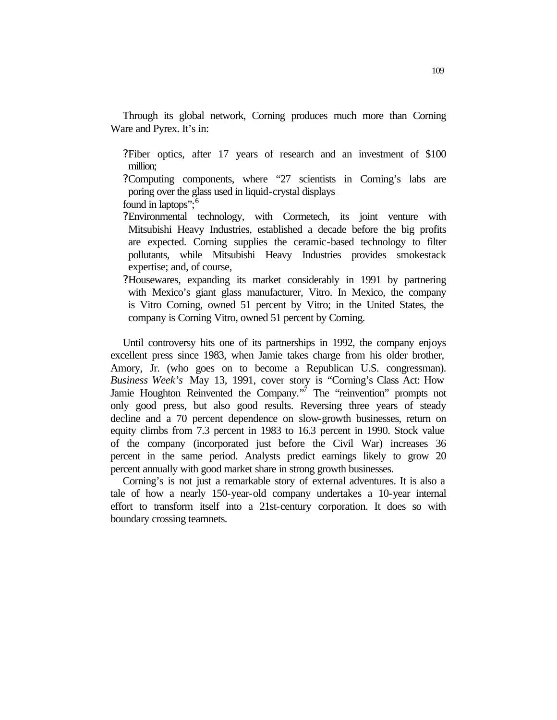Through its global network, Corning produces much more than Corning Ware and Pyrex. It's in:

?Fiber optics, after 17 years of research and an investment of \$100 million;

- ?Computing components, where "27 scientists in Corning's labs are poring over the glass used in liquid-crystal displays . found in laptops":<sup>6</sup>
- ?Environmental technology, with Cormetech, its joint venture with Mitsubishi Heavy Industries, established a decade before the big profits are expected. Corning supplies the ceramic-based technology to filter pollutants, while Mitsubishi Heavy Industries provides smokestack expertise; and, of course,
- ?Housewares, expanding its market considerably in 1991 by partnering with Mexico's giant glass manufacturer, Vitro. In Mexico, the company is Vitro Corning, owned 51 percent by Vitro; in the United States, the company is Corning Vitro, owned 51 percent by Corning.

Until controversy hits one of its partnerships in 1992, the company enjoys excellent press since 1983, when Jamie takes charge from his older brother, Amory, Jr. (who goes on to become a Republican U.S. congressman). *Business Week's* May 13, 1991, cover story is "Corning's Class Act: How Jamie Houghton Reinvented the Company."<sup>7</sup> The "reinvention" prompts not only good press, but also good results. Reversing three years of steady decline and a 70 percent dependence on slow-growth businesses, return on equity climbs from 7.3 percent in 1983 to 16.3 percent in 1990. Stock value of the company (incorporated just before the Civil War) increases 36 percent in the same period. Analysts predict earnings likely to grow 20 percent annually with good market share in strong growth businesses.

Corning's is not just a remarkable story of external adventures. It is also a tale of how a nearly 150-year-old company undertakes a 10-year internal effort to transform itself into a 21st-century corporation. It does so with boundary crossing teamnets.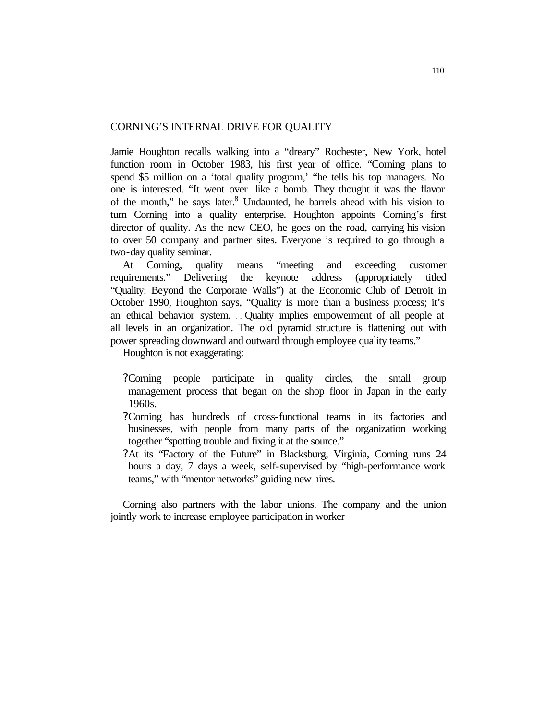#### CORNING'S INTERNAL DRIVE FOR QUALITY

Jamie Houghton recalls walking into a "dreary" Rochester, New York, hotel function room in October 1983, his first year of office. "Corning plans to spend \$5 million on a 'total quality program,' "he tells his top managers. No one is interested. "It went over like a bomb. They thought it was the flavor of the month," he says later.<sup>8</sup> Undaunted, he barrels ahead with his vision to turn Corning into a quality enterprise. Houghton appoints Corning's first director of quality. As the new CEO, he goes on the road, carrying his vision to over 50 company and partner sites. Everyone is required to go through a two-day quality seminar.

At Corning, quality means "meeting and exceeding customer requirements." Delivering the keynote address (appropriately titled "Quality: Beyond the Corporate Walls") at the Economic Club of Detroit in October 1990, Houghton says, "Quality is more than a business process; it's an ethical behavior system. . . Quality implies empowerment of all people at all levels in an organization. The old pyramid structure is flattening out with power spreading downward and outward through employee quality teams."

Houghton is not exaggerating:

- ?Corning people participate in quality circles, the small group management process that began on the shop floor in Japan in the early 1960s.
- ?Corning has hundreds of cross-functional teams in its factories and businesses, with people from many parts of the organization working together "spotting trouble and fixing it at the source."
- ?At its "Factory of the Future" in Blacksburg, Virginia, Corning runs 24 hours a day, 7 days a week, self-supervised by "high-performance work teams," with "mentor networks" guiding new hires.

Corning also partners with the labor unions. The company and the union jointly work to increase employee participation in worker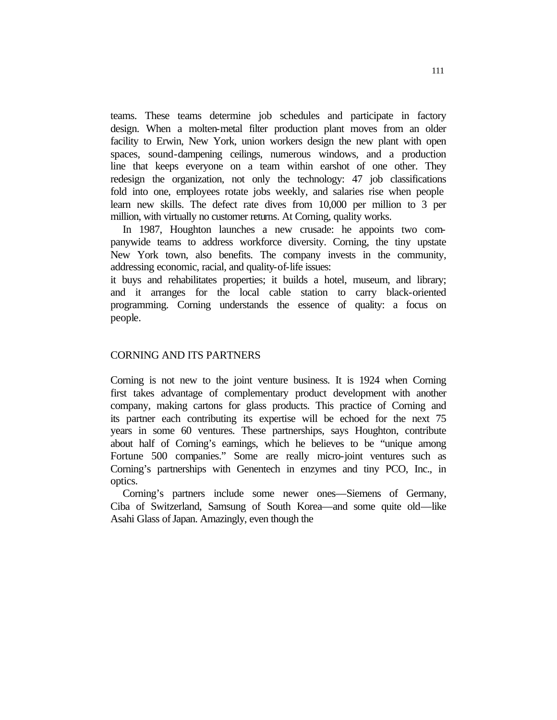teams. These teams determine job schedules and participate in factory design. When a molten-metal filter production plant moves from an older facility to Erwin, New York, union workers design the new plant with open spaces, sound-dampening ceilings, numerous windows, and a production line that keeps everyone on a team within earshot of one other. They redesign the organization, not only the technology: 47 job classifications fold into one, employees rotate jobs weekly, and salaries rise when people learn new skills. The defect rate dives from 10,000 per million to 3 per million, with virtually no customer returns. At Corning, quality works.

In 1987, Houghton launches a new crusade: he appoints two companywide teams to address workforce diversity. Corning, the tiny upstate New York town, also benefits. The company invests in the community, addressing economic, racial, and quality-of-life issues:

it buys and rehabilitates properties; it builds a hotel, museum, and library; and it arranges for the local cable station to carry black-oriented programming. Corning understands the essence of quality: a focus on people.

#### CORNING AND ITS PARTNERS

Corning is not new to the joint venture business. It is 1924 when Corning first takes advantage of complementary product development with another company, making cartons for glass products. This practice of Corning and its partner each contributing its expertise will be echoed for the next 75 years in some 60 ventures. These partnerships, says Houghton, contribute about half of Corning's earnings, which he believes to be "unique among Fortune 500 companies." Some are really micro-joint ventures such as Corning's partnerships with Genentech in enzymes and tiny PCO, Inc., in optics.

Corning's partners include some newer ones—Siemens of Germany, Ciba of Switzerland, Samsung of South Korea—and some quite old—like Asahi Glass of Japan. Amazingly, even though the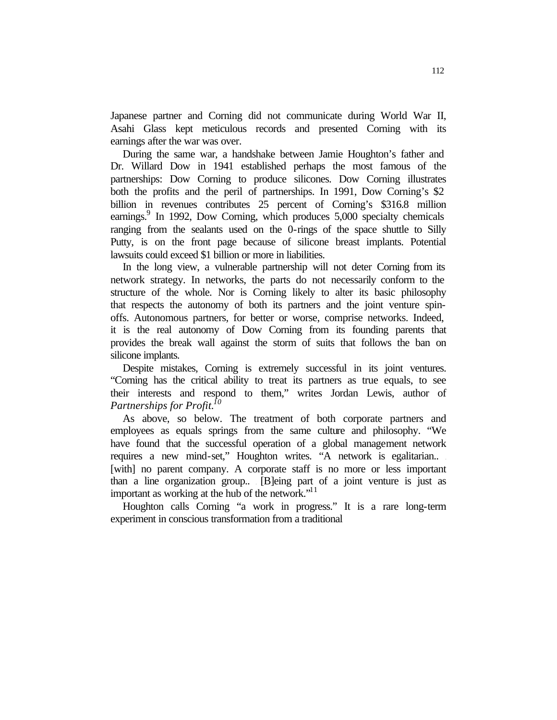Japanese partner and Corning did not communicate during World War II, Asahi Glass kept meticulous records and presented Corning with its earnings after the war was over.

During the same war, a handshake between Jamie Houghton's father and Dr. Willard Dow in 1941 established perhaps the most famous of the partnerships: Dow Corning to produce silicones. Dow Corning illustrates both the profits and the peril of partnerships. In 1991, Dow Corning's \$2 billion in revenues contributes 25 percent of Corning's \$316.8 million earnings. $9$  In 1992, Dow Corning, which produces 5,000 specialty chemicals ranging from the sealants used on the 0-rings of the space shuttle to Silly Putty, is on the front page because of silicone breast implants. Potential lawsuits could exceed \$1 billion or more in liabilities.

In the long view, a vulnerable partnership will not deter Corning from its network strategy. In networks, the parts do not necessarily conform to the structure of the whole. Nor is Corning likely to alter its basic philosophy that respects the autonomy of both its partners and the joint venture spinoffs. Autonomous partners, for better or worse, comprise networks. Indeed, it is the real autonomy of Dow Corning from its founding parents that provides the break wall against the storm of suits that follows the ban on silicone implants.

Despite mistakes, Corning is extremely successful in its joint ventures. "Corning has the critical ability to treat its partners as true equals, to see their interests and respond to them," writes Jordan Lewis, author of *Partnerships for Profit.<sup>10</sup>*

As above, so below. The treatment of both corporate partners and employees as equals springs from the same culture and philosophy. "We have found that the successful operation of a global management network requires a new mind-set," Houghton writes. "A network is egalitarian... [with] no parent company. A corporate staff is no more or less important than a line organization group.. [B]eing part of a joint venture is just as important as working at the hub of the network."<sup>11</sup>

Houghton calls Corning "a work in progress." It is a rare long-term experiment in conscious transformation from a traditional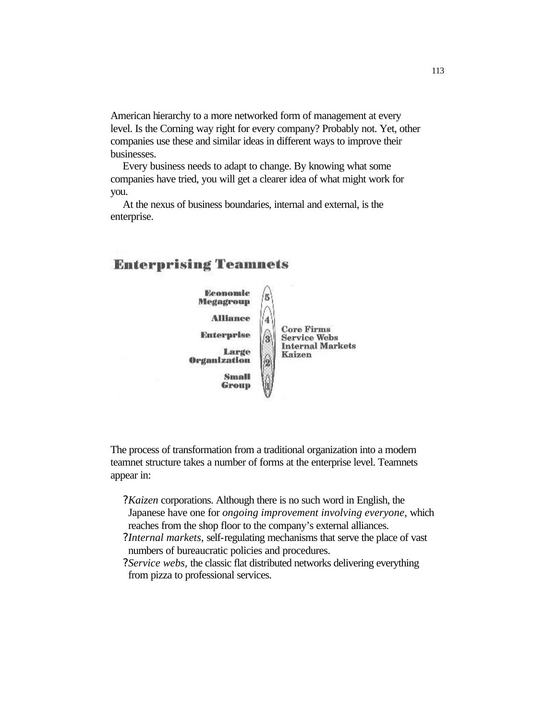American hierarchy to a more networked form of management at every level. Is the Corning way right for every company? Probably not. Yet, other companies use these and similar ideas in different ways to improve their businesses.

Every business needs to adapt to change. By knowing what some companies have tried, you will get a clearer idea of what might work for you.

At the nexus of business boundaries, internal and external, is the enterprise.

## **Enterprising Teamnets**



The process of transformation from a traditional organization into a modern teamnet structure takes a number of forms at the enterprise level. Teamnets appear in:

- *?Kaizen* corporations. Although there is no such word in English, the Japanese have one for *ongoing improvement involving everyone,* which reaches from the shop floor to the company's external alliances.
- *?Internal markets,* self-regulating mechanisms that serve the place of vast numbers of bureaucratic policies and procedures.
- *?Service webs,* the classic flat distributed networks delivering everything from pizza to professional services.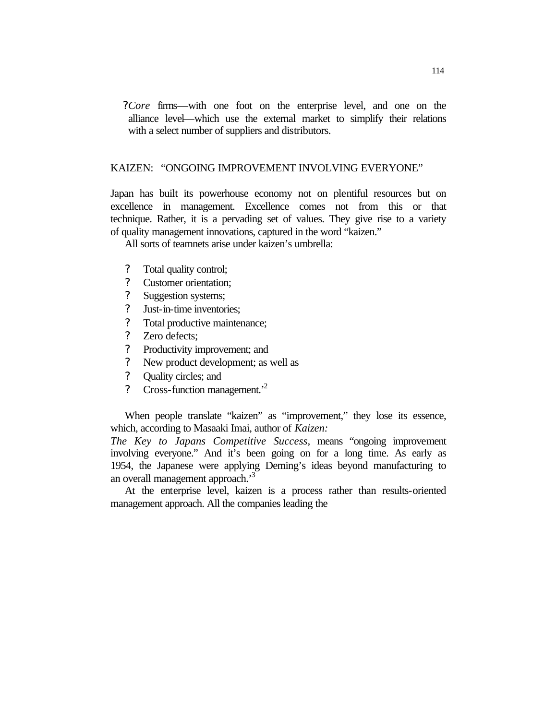*?Core* firms—with one foot on the enterprise level, and one on the alliance level—which use the external market to simplify their relations with a select number of suppliers and distributors.

#### KAIZEN: "ONGOING IMPROVEMENT INVOLVING EVERYONE"

Japan has built its powerhouse economy not on plentiful resources but on excellence in management. Excellence comes not from this or that technique. Rather, it is a pervading set of values. They give rise to a variety of quality management innovations, captured in the word "kaizen."

All sorts of teamnets arise under kaizen's umbrella:

- ? Total quality control;
- ? Customer orientation;
- ? Suggestion systems;
- ? Just-in-time inventories;
- ? Total productive maintenance;
- ? Zero defects;
- ? Productivity improvement; and
- ? New product development; as well as
- ? Quality circles; and
- ? Cross-function management.'<sup>2</sup>

When people translate "kaizen" as "improvement," they lose its essence, which, according to Masaaki Imai, author of *Kaizen:*

*The Key to Japans Competitive Success,* means "ongoing improvement involving everyone." And it's been going on for a long time. As early as 1954, the Japanese were applying Deming's ideas beyond manufacturing to an overall management approach.'<sup>3</sup>

At the enterprise level, kaizen is a process rather than results-oriented management approach. All the companies leading the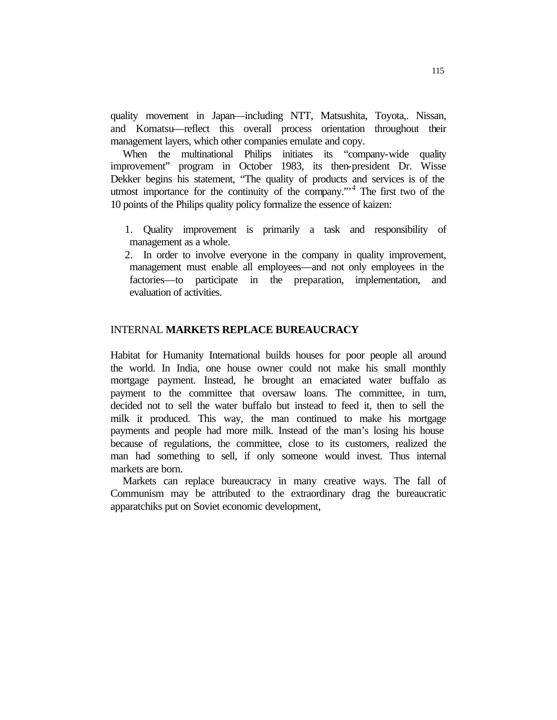quality movement in Japan—including NTT, Matsushita, Toyota,. Nissan, and Komatsu—reflect this overall process orientation throughout their management layers, which other companies emulate and copy.

When the multinational Philips initiates its "company-wide quality" improvement" program in October 1983, its then-president Dr. Wisse Dekker begins his statement, "The quality of products and services is of the utmost importance for the continuity of the company."<sup>4</sup> The first two of the 10 points of the Philips quality policy formalize the essence of kaizen:

- 1. Quality improvement is primarily a task and responsibility of management as a whole.
- 2. In order to involve everyone in the company in quality improvement, management must enable all employees—and not only employees in the factories—to participate in the preparation, implementation, and evaluation of activities.

## INTERNAL **MARKETS REPLACE BUREAUCRACY**

Habitat for Humanity International builds houses for poor people all around the world. In India, one house owner could not make his small monthly mortgage payment. Instead, he brought an emaciated water buffalo as payment to the committee that oversaw loans. The committee, in turn, decided not to sell the water buffalo but instead to feed it, then to sell the milk it produced. This way, the man continued to make his mortgage payments and people had more milk. Instead of the man's losing his house because of regulations, the committee, close to its customers, realized the man had something to sell, if only someone would invest. Thus internal markets are born.

Markets can replace bureaucracy in many creative ways. The fall of Communism may be attributed to the extraordinary drag the bureaucratic apparatchiks put on Soviet economic development,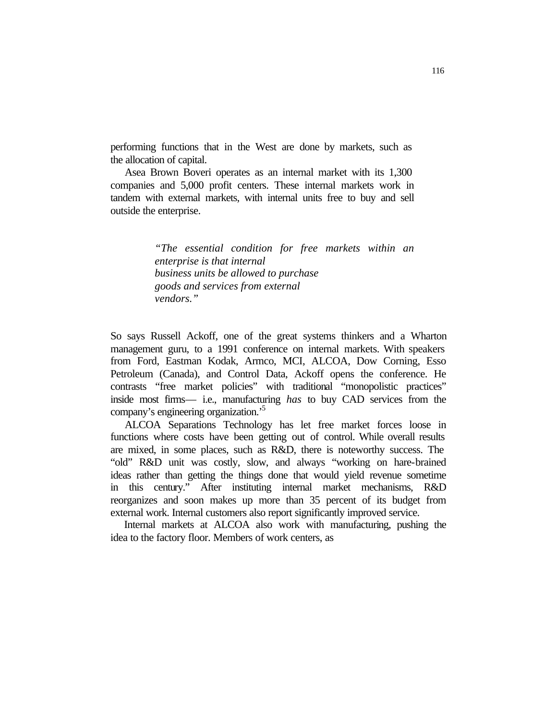performing functions that in the West are done by markets, such as the allocation of capital.

Asea Brown Boveri operates as an internal market with its 1,300 companies and 5,000 profit centers. These internal markets work in tandem with external markets, with internal units free to buy and sell outside the enterprise.

> *"The essential condition for free markets within an enterprise is that internal business units be allowed to purchase goods and services from external vendors."*

So says Russell Ackoff, one of the great systems thinkers and a Wharton management guru, to a 1991 conference on internal markets. With speakers from Ford, Eastman Kodak, Armco, MCI, ALCOA, Dow Corning, Esso Petroleum (Canada), and Control Data, Ackoff opens the conference. He contrasts "free market policies" with traditional "monopolistic practices" inside most firms— i.e., manufacturing *has* to buy CAD services from the company's engineering organization.'<sup>5</sup>

ALCOA Separations Technology has let free market forces loose in functions where costs have been getting out of control. While overall results are mixed, in some places, such as R&D, there is noteworthy success. The "old" R&D unit was costly, slow, and always "working on hare-brained ideas rather than getting the things done that would yield revenue sometime in this century." After instituting internal market mechanisms, R&D reorganizes and soon makes up more than 35 percent of its budget from external work. Internal customers also report significantly improved service.

Internal markets at ALCOA also work with manufacturing, pushing the idea to the factory floor. Members of work centers, as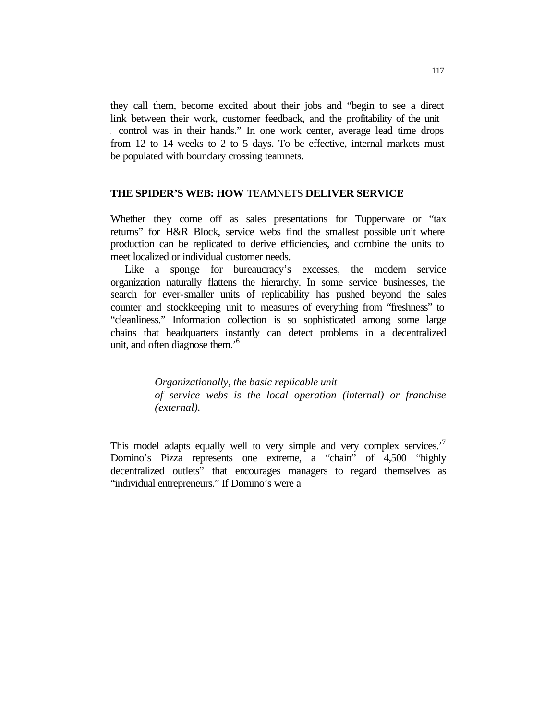they call them, become excited about their jobs and "begin to see a direct link between their work, customer feedback, and the profitability of the unit . . control was in their hands." In one work center, average lead time drops from 12 to 14 weeks to 2 to 5 days. To be effective, internal markets must be populated with boundary crossing teamnets.

#### **THE SPIDER'S WEB: HOW** TEAMNETS **DELIVER SERVICE**

Whether they come off as sales presentations for Tupperware or "tax returns" for H&R Block, service webs find the smallest possible unit where production can be replicated to derive efficiencies, and combine the units to meet localized or individual customer needs.

Like a sponge for bureaucracy's excesses, the modern service organization naturally flattens the hierarchy. In some service businesses, the search for ever-smaller units of replicability has pushed beyond the sales counter and stockkeeping unit to measures of everything from "freshness" to "cleanliness." Information collection is so sophisticated among some large chains that headquarters instantly can detect problems in a decentralized unit, and often diagnose them.'<sup>6</sup>

> *Organizationally, the basic replicable unit of service webs is the local operation (internal) or franchise (external).*

This model adapts equally well to very simple and very complex services.<sup>'7</sup> Domino's Pizza represents one extreme, a "chain" of 4,500 "highly decentralized outlets" that encourages managers to regard themselves as "individual entrepreneurs." If Domino's were a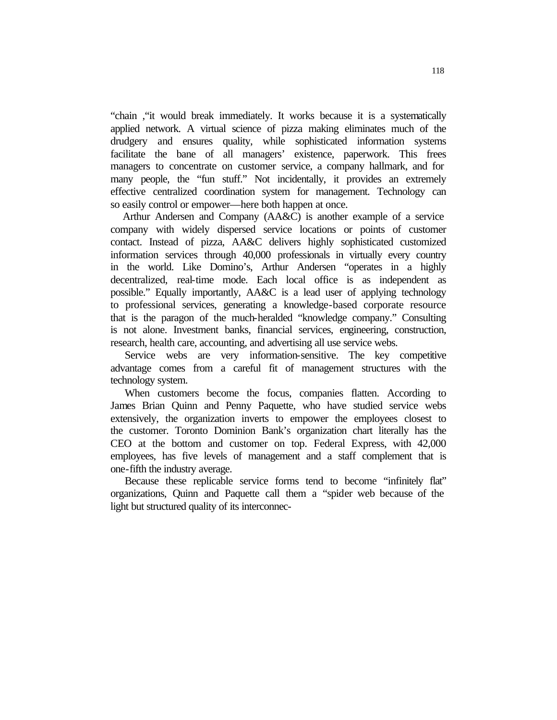"chain ,"it would break immediately. It works because it is a systematically applied network. A virtual science of pizza making eliminates much of the drudgery and ensures quality, while sophisticated information systems facilitate the bane of all managers' existence, paperwork. This frees managers to concentrate on customer service, a company hallmark, and for many people, the "fun stuff." Not incidentally, it provides an extremely effective centralized coordination system for management. Technology can so easily control or empower—here both happen at once.

Arthur Andersen and Company (AA&C) is another example of a service company with widely dispersed service locations or points of customer contact. Instead of pizza, AA&C delivers highly sophisticated customized information services through 40,000 professionals in virtually every country in the world. Like Domino's, Arthur Andersen "operates in a highly decentralized, real-time mode. Each local office is as independent as possible." Equally importantly, AA&C is a lead user of applying technology to professional services, generating a knowledge-based corporate resource that is the paragon of the much-heralded "knowledge company." Consulting is not alone. Investment banks, financial services, engineering, construction, research, health care, accounting, and advertising all use service webs.

Service webs are very information-sensitive. The key competitive advantage comes from a careful fit of management structures with the technology system.

When customers become the focus, companies flatten. According to James Brian Quinn and Penny Paquette, who have studied service webs extensively, the organization inverts to empower the employees closest to the customer. Toronto Dominion Bank's organization chart literally has the CEO at the bottom and customer on top. Federal Express, with 42,000 employees, has five levels of management and a staff complement that is one-fifth the industry average.

Because these replicable service forms tend to become "infinitely flat" organizations, Quinn and Paquette call them a "spider web because of the light but structured quality of its interconnec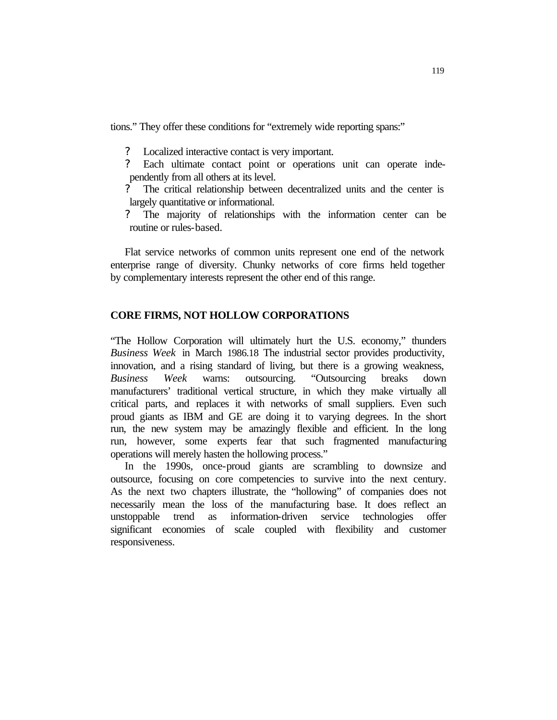tions." They offer these conditions for "extremely wide reporting spans:"

- Localized interactive contact is very important.
- ? Each ultimate contact point or operations unit can operate independently from all others at its level.
- ? The critical relationship between decentralized units and the center is largely quantitative or informational.
- ? The majority of relationships with the information center can be routine or rules-based.

Flat service networks of common units represent one end of the network enterprise range of diversity. Chunky networks of core firms held together by complementary interests represent the other end of this range.

## **CORE FIRMS, NOT HOLLOW CORPORATIONS**

"The Hollow Corporation will ultimately hurt the U.S. economy," thunders *Business Week* in March 1986.18 The industrial sector provides productivity, innovation, and a rising standard of living, but there is a growing weakness, *Business Week* warns: outsourcing. "Outsourcing breaks down manufacturers' traditional vertical structure, in which they make virtually all critical parts, and replaces it with networks of small suppliers. Even such proud giants as IBM and GE are doing it to varying degrees. In the short run, the new system may be amazingly flexible and efficient. In the long run, however, some experts fear that such fragmented manufacturing operations will merely hasten the hollowing process."

In the 1990s, once-proud giants are scrambling to downsize and outsource, focusing on core competencies to survive into the next century. As the next two chapters illustrate, the "hollowing" of companies does not necessarily mean the loss of the manufacturing base. It does reflect an unstoppable trend as information-driven service technologies offer significant economies of scale coupled with flexibility and customer responsiveness.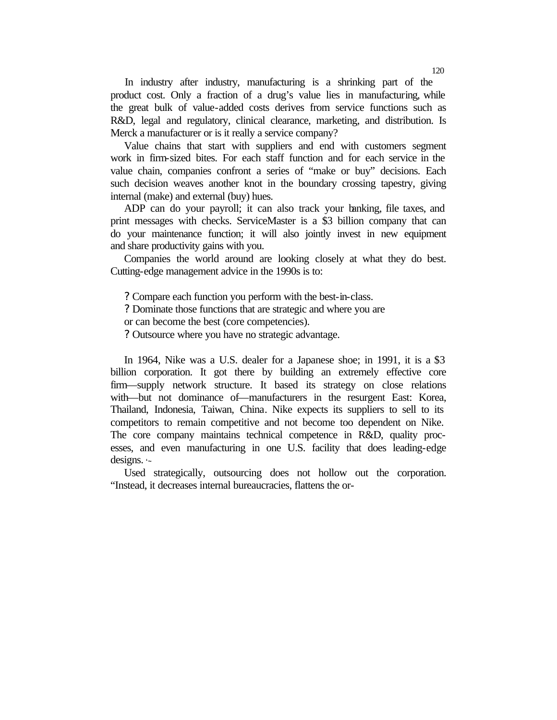In industry after industry, manufacturing is a shrinking part of the product cost. Only a fraction of a drug's value lies in manufacturing, while the great bulk of value-added costs derives from service functions such as R&D, legal and regulatory, clinical clearance, marketing, and distribution. Is Merck a manufacturer or is it really a service company?

Value chains that start with suppliers and end with customers segment work in firm-sized bites. For each staff function and for each service in the value chain, companies confront a series of "make or buy" decisions. Each such decision weaves another knot in the boundary crossing tapestry, giving internal (make) and external (buy) hues.

ADP can do your payroll; it can also track your banking, file taxes, and print messages with checks. ServiceMaster is a \$3 billion company that can do your maintenance function; it will also jointly invest in new equipment and share productivity gains with you.

Companies the world around are looking closely at what they do best. Cutting-edge management advice in the 1990s is to:

? Compare each function you perform with the best-in-class.

? Dominate those functions that are strategic and where you are

or can become the best (core competencies).

? Outsource where you have no strategic advantage.

In 1964, Nike was a U.S. dealer for a Japanese shoe; in 1991, it is a \$3 billion corporation. It got there by building an extremely effective core firm—supply network structure. It based its strategy on close relations with—but not dominance of—manufacturers in the resurgent East: Korea, Thailand, Indonesia, Taiwan, China. Nike expects its suppliers to sell to its competitors to remain competitive and not become too dependent on Nike. The core company maintains technical competence in R&D, quality processes, and even manufacturing in one U.S. facility that does leading-edge designs. **'~**

Used strategically, outsourcing does not hollow out the corporation. "Instead, it decreases internal bureaucracies, flattens the or-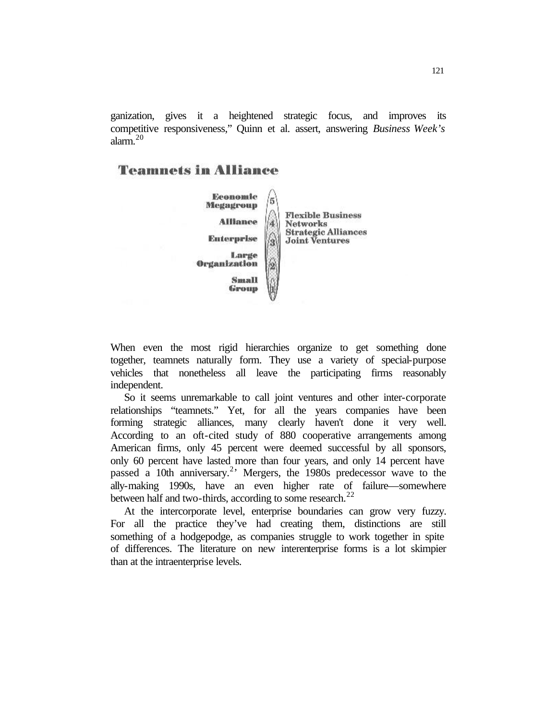ganization, gives it a heightened strategic focus, and improves its competitive responsiveness," Quinn et al. assert, answering *Business Week's*  alarm.<sup>20</sup>

## **Teamnets in Alliance**



When even the most rigid hierarchies organize to get something done together, teamnets naturally form. They use a variety of special-purpose vehicles that nonetheless all leave the participating firms reasonably independent.

So it seems unremarkable to call joint ventures and other inter-corporate relationships "teamnets." Yet, for all the years companies have been forming strategic alliances, many clearly haven't done it very well. According to an oft-cited study of 880 cooperative arrangements among American firms, only 45 percent were deemed successful by all sponsors, only 60 percent have lasted more than four years, and only 14 percent have passed a 10th anniversary.<sup>2</sup> Mergers, the 1980s predecessor wave to the ally-making 1990s, have an even higher rate of failure—somewhere between half and two-thirds, according to some research.<sup>22</sup>

At the intercorporate level, enterprise boundaries can grow very fuzzy. For all the practice they've had creating them, distinctions are still something of a hodgepodge, as companies struggle to work together in spite of differences. The literature on new interenterprise forms is a lot skimpier than at the intraenterprise levels.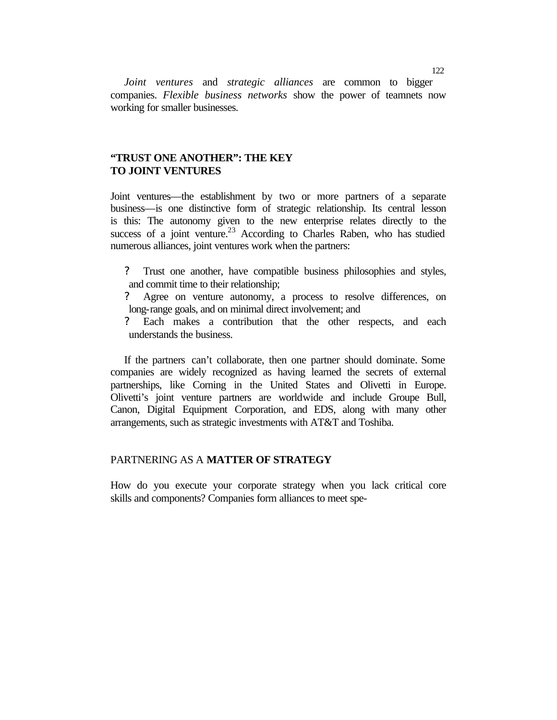*Joint ventures* and *strategic alliances* are common to bigger companies. *Flexible business networks* show the power of teamnets now working for smaller businesses.

## **"TRUST ONE ANOTHER": THE KEY TO JOINT VENTURES**

Joint ventures—the establishment by two or more partners of a separate business—is one distinctive form of strategic relationship. Its central lesson is this: The autonomy given to the new enterprise relates directly to the success of a joint venture.<sup>23</sup> According to Charles Raben, who has studied numerous alliances, joint ventures work when the partners:

- ? Trust one another, have compatible business philosophies and styles, and commit time to their relationship;
- ? Agree on venture autonomy, a process to resolve differences, on long-range goals, and on minimal direct involvement; and
- Each makes a contribution that the other respects, and each understands the business.

If the partners can't collaborate, then one partner should dominate. Some companies are widely recognized as having learned the secrets of external partnerships, like Corning in the United States and Olivetti in Europe. Olivetti's joint venture partners are worldwide and include Groupe Bull, Canon, Digital Equipment Corporation, and EDS, along with many other arrangements, such as strategic investments with AT&T and Toshiba.

## PARTNERING AS A **MATTER OF STRATEGY**

How do you execute your corporate strategy when you lack critical core skills and components? Companies form alliances to meet spe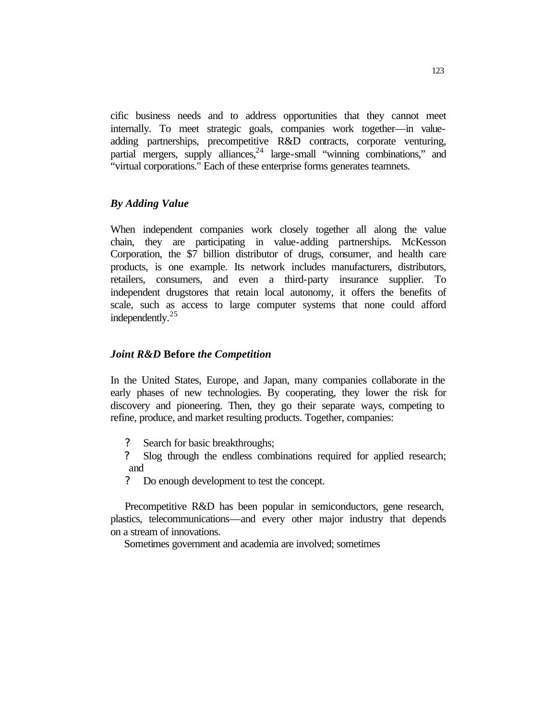cific business needs and to address opportunities that they cannot meet internally. To meet strategic goals, companies work together—in valueadding partnerships, precompetitive R&D contracts, corporate venturing, partial mergers, supply alliances,  $24$  large-small "winning combinations," and "virtual corporations." Each of these enterprise forms generates teamnets.

#### *By Adding Value*

When independent companies work closely together all along the value chain, they are participating in value-adding partnerships. McKesson Corporation, the \$7 billion distributor of drugs, consumer, and health care products, is one example. Its network includes manufacturers, distributors, retailers, consumers, and even a third-party insurance supplier. To independent drugstores that retain local autonomy, it offers the benefits of scale, such as access to large computer systems that none could afford independently.<sup>25</sup>

#### *Joint R&D* **Before** *the Competition*

In the United States, Europe, and Japan, many companies collaborate in the early phases of new technologies. By cooperating, they lower the risk for discovery and pioneering. Then, they go their separate ways, competing to refine, produce, and market resulting products. Together, companies:

- ? Search for basic breakthroughs;
- ? Slog through the endless combinations required for applied research; and
- ? Do enough development to test the concept.

Precompetitive R&D has been popular in semiconductors, gene research, plastics, telecommunications—and every other major industry that depends on a stream of innovations.

Sometimes government and academia are involved; sometimes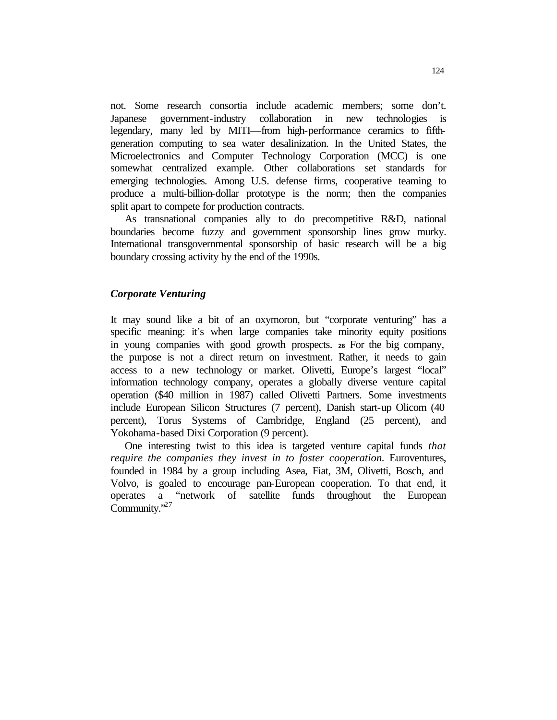not. Some research consortia include academic members; some don't. Japanese government-industry collaboration in new technologies is legendary, many led by MITI—from high-performance ceramics to fifthgeneration computing to sea water desalinization. In the United States, the Microelectronics and Computer Technology Corporation (MCC) is one somewhat centralized example. Other collaborations set standards for emerging technologies. Among U.S. defense firms, cooperative teaming to produce a multi-billion-dollar prototype is the norm; then the companies split apart to compete for production contracts.

As transnational companies ally to do precompetitive R&D, national boundaries become fuzzy and government sponsorship lines grow murky. International transgovernmental sponsorship of basic research will be a big boundary crossing activity by the end of the 1990s.

#### *Corporate Venturing*

It may sound like a bit of an oxymoron, but "corporate venturing" has a specific meaning: it's when large companies take minority equity positions in young companies with good growth prospects. **<sup>26</sup>**For the big company, the purpose is not a direct return on investment. Rather, it needs to gain access to a new technology or market. Olivetti, Europe's largest "local" information technology company, operates a globally diverse venture capital operation (\$40 million in 1987) called Olivetti Partners. Some investments include European Silicon Structures (7 percent), Danish start-up Olicom (40 percent), Torus Systems of Cambridge, England (25 percent), and Yokohama-based Dixi Corporation (9 percent).

One interesting twist to this idea is targeted venture capital funds *that require the companies they invest in to foster cooperation. Euroventures,* founded in 1984 by a group including Asea, Fiat, 3M, Olivetti, Bosch, and Volvo, is goaled to encourage pan-European cooperation. To that end, it operates a "network of satellite funds throughout the European Community.<sup>27</sup>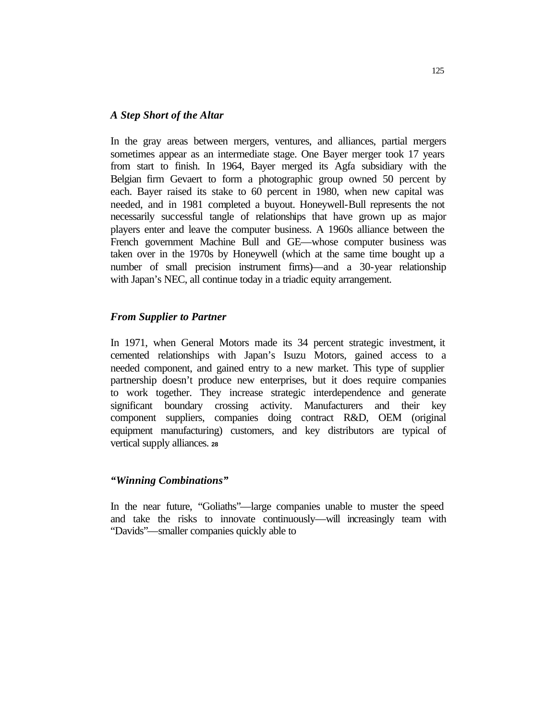#### *A Step Short of the Altar*

In the gray areas between mergers, ventures, and alliances, partial mergers sometimes appear as an intermediate stage. One Bayer merger took 17 years from start to finish. In 1964, Bayer merged its Agfa subsidiary with the Belgian firm Gevaert to form a photographic group owned 50 percent by each. Bayer raised its stake to 60 percent in 1980, when new capital was needed, and in 1981 completed a buyout. Honeywell-Bull represents the not necessarily successful tangle of relationships that have grown up as major players enter and leave the computer business. A 1960s alliance between the French government Machine Bull and GE—whose computer business was taken over in the 1970s by Honeywell (which at the same time bought up a number of small precision instrument firms)—and a 30-year relationship with Japan's NEC, all continue today in a triadic equity arrangement.

#### *From Supplier to Partner*

In 1971, when General Motors made its 34 percent strategic investment, it cemented relationships with Japan's Isuzu Motors, gained access to a needed component, and gained entry to a new market. This type of supplier partnership doesn't produce new enterprises, but it does require companies to work together. They increase strategic interdependence and generate significant boundary crossing activity. Manufacturers and their key component suppliers, companies doing contract R&D, OEM (original equipment manufacturing) customers, and key distributors are typical of vertical supply alliances. **<sup>28</sup>**

#### *"Winning Combinations"*

In the near future, "Goliaths"—large companies unable to muster the speed and take the risks to innovate continuously—will increasingly team with "Davids"—smaller companies quickly able to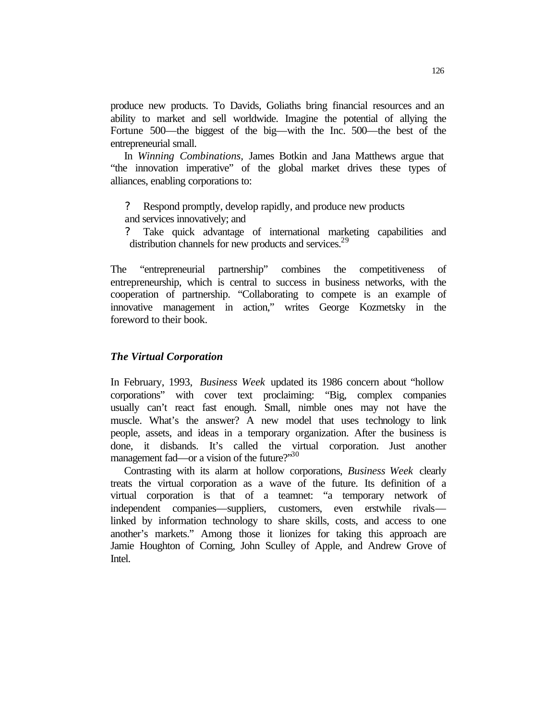produce new products. To Davids, Goliaths bring financial resources and an ability to market and sell worldwide. Imagine the potential of allying the Fortune 500—the biggest of the big—with the Inc. 500—the best of the entrepreneurial small.

In *Winning Combinations,* James Botkin and Jana Matthews argue that "the innovation imperative" of the global market drives these types of alliances, enabling corporations to:

- ? Respond promptly, develop rapidly, and produce new products and services innovatively; and
- ? Take quick advantage of international marketing capabilities and distribution channels for new products and services.<sup>29</sup>

The "entrepreneurial partnership" combines the competitiveness of entrepreneurship, which is central to success in business networks, with the cooperation of partnership. "Collaborating to compete is an example of innovative management in action," writes George Kozmetsky in the foreword to their book.

#### *The Virtual Corporation*

In February, 1993, *Business Week* updated its 1986 concern about "hollow corporations" with cover text proclaiming: "Big, complex companies usually can't react fast enough. Small, nimble ones may not have the muscle. What's the answer? A new model that uses technology to link people, assets, and ideas in a temporary organization. After the business is done, it disbands. It's called the virtual corporation. Just another management fad—or a vision of the future?"  $30$ 

Contrasting with its alarm at hollow corporations, *Business Week* clearly treats the virtual corporation as a wave of the future. Its definition of a virtual corporation is that of a teamnet: "a temporary network of independent companies—suppliers, customers, even erstwhile rivals linked by information technology to share skills, costs, and access to one another's markets." Among those it lionizes for taking this approach are Jamie Houghton of Corning, John Sculley of Apple, and Andrew Grove of Intel.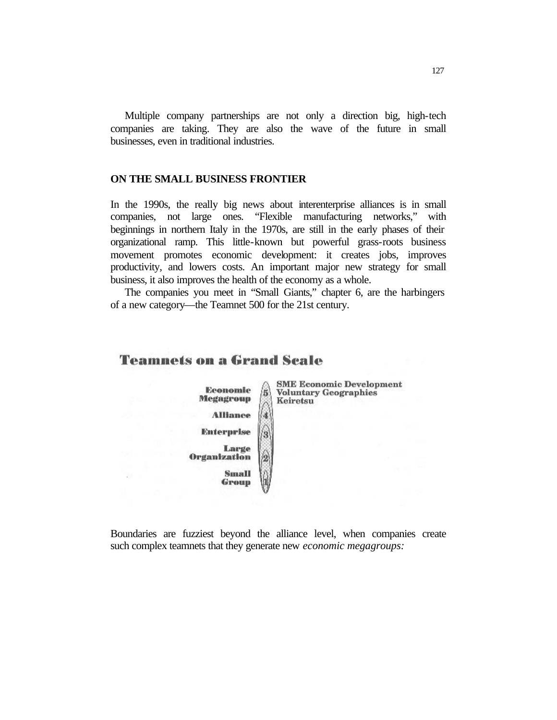Multiple company partnerships are not only a direction big, high-tech companies are taking. They are also the wave of the future in small businesses, even in traditional industries.

## **ON THE SMALL BUSINESS FRONTIER**

In the 1990s, the really big news about interenterprise alliances is in small companies, not large ones. "Flexible manufacturing networks," with beginnings in northern Italy in the 1970s, are still in the early phases of their organizational ramp. This little-known but powerful grass-roots business movement promotes economic development: it creates jobs, improves productivity, and lowers costs. An important major new strategy for small business, it also improves the health of the economy as a whole.

The companies you meet in "Small Giants," chapter 6, are the harbingers of a new category—the Teamnet 500 for the 21st century.

## **Teamnets on a Grand Scale**



**SME Economic Development Voluntary Geographies** Keiretsu

Boundaries are fuzziest beyond the alliance level, when companies create such complex teamnets that they generate new *economic megagroups:*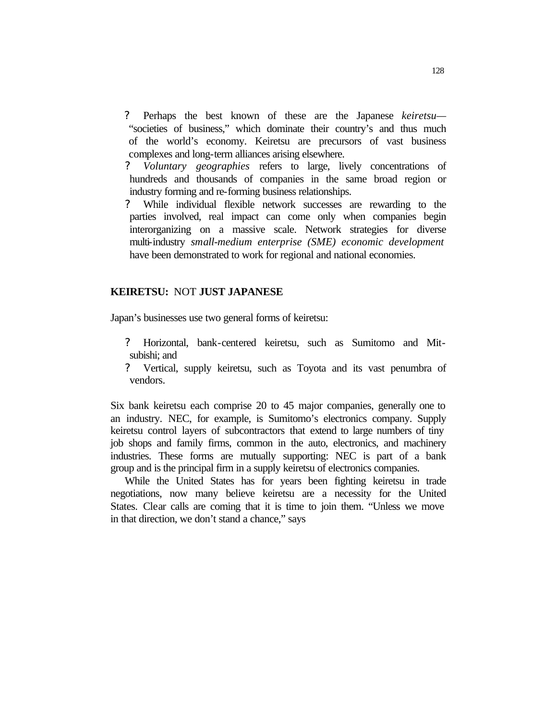- ? Perhaps the best known of these are the Japanese *keiretsu—* "societies of business," which dominate their country's and thus much of the world's economy. Keiretsu are precursors of vast business complexes and long-term alliances arising elsewhere.
- *? Voluntary geographies* refers to large, lively concentrations of hundreds and thousands of companies in the same broad region or industry forming and re-forming business relationships.
- ? While individual flexible network successes are rewarding to the parties involved, real impact can come only when companies begin interorganizing on a massive scale. Network strategies for diverse multi-industry *small-medium enterprise (SME) economic development*  have been demonstrated to work for regional and national economies.

#### **KEIRETSU:** NOT **JUST JAPANESE**

Japan's businesses use two general forms of keiretsu:

- ? Horizontal, bank-centered keiretsu, such as Sumitomo and Mitsubishi; and
- ? Vertical, supply keiretsu, such as Toyota and its vast penumbra of vendors.

Six bank keiretsu each comprise 20 to 45 major companies, generally one to an industry. NEC, for example, is Sumitomo's electronics company. Supply keiretsu control layers of subcontractors that extend to large numbers of tiny job shops and family firms, common in the auto, electronics, and machinery industries. These forms are mutually supporting: NEC is part of a bank group and is the principal firm in a supply keiretsu of electronics companies.

While the United States has for years been fighting keiretsu in trade negotiations, now many believe keiretsu are a necessity for the United States. Clear calls are coming that it is time to join them. "Unless we move in that direction, we don't stand a chance," says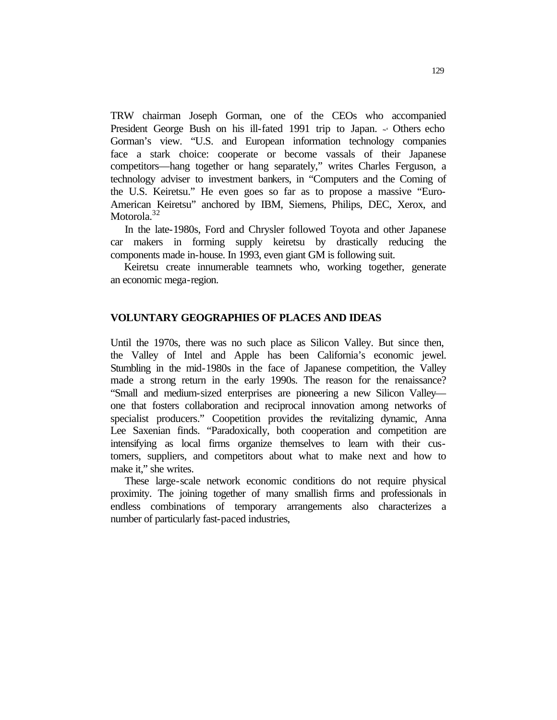TRW chairman Joseph Gorman, one of the CEOs who accompanied President George Bush on his ill-fated 1991 trip to Japan. **~'** Others echo Gorman's view. "U.S. and European information technology companies face a stark choice: cooperate or become vassals of their Japanese competitors—hang together or hang separately," writes Charles Ferguson, a technology adviser to investment bankers, in "Computers and the Coming of the U.S. Keiretsu." He even goes so far as to propose a massive "Euro-American Keiretsu" anchored by IBM, Siemens, Philips, DEC, Xerox, and Motorola.<sup>32</sup>

In the late-1980s, Ford and Chrysler followed Toyota and other Japanese car makers in forming supply keiretsu by drastically reducing the components made in-house. In 1993, even giant GM is following suit.

Keiretsu create innumerable teamnets who, working together, generate an economic mega-region.

### **VOLUNTARY GEOGRAPHIES OF PLACES AND IDEAS**

Until the 1970s, there was no such place as Silicon Valley. But since then, the Valley of Intel and Apple has been California's economic jewel. Stumbling in the mid-1980s in the face of Japanese competition, the Valley made a strong return in the early 1990s. The reason for the renaissance? "Small and medium-sized enterprises are pioneering a new Silicon Valley one that fosters collaboration and reciprocal innovation among networks of specialist producers." Coopetition provides the revitalizing dynamic, Anna Lee Saxenian finds. "Paradoxically, both cooperation and competition are intensifying as local firms organize themselves to learn with their customers, suppliers, and competitors about what to make next and how to make it," she writes.

These large-scale network economic conditions do not require physical proximity. The joining together of many smallish firms and professionals in endless combinations of temporary arrangements also characterizes a number of particularly fast-paced industries,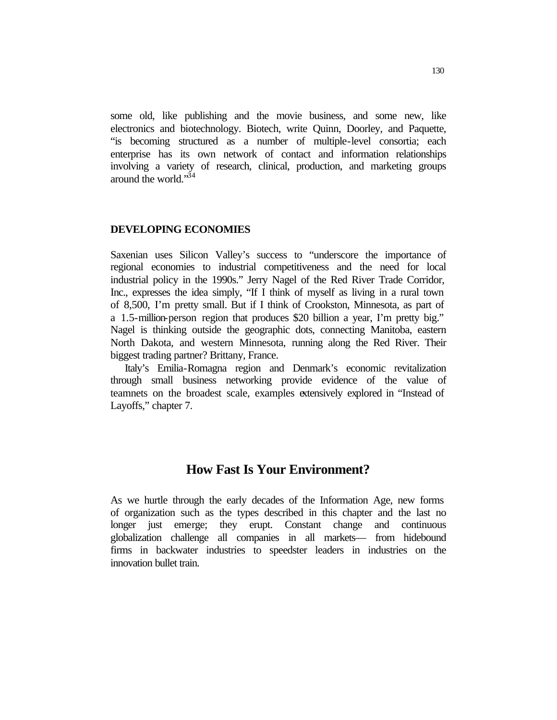some old, like publishing and the movie business, and some new, like electronics and biotechnology. Biotech, write Quinn, Doorley, and Paquette, "is becoming structured as a number of multiple-level consortia; each enterprise has its own network of contact and information relationships involving a variety of research, clinical, production, and marketing groups around the world."<sup>34</sup>

#### **DEVELOPING ECONOMIES**

Saxenian uses Silicon Valley's success to "underscore the importance of regional economies to industrial competitiveness and the need for local industrial policy in the 1990s." Jerry Nagel of the Red River Trade Corridor, Inc., expresses the idea simply, "If I think of myself as living in a rural town of 8,500, I'm pretty small. But if I think of Crookston, Minnesota, as part of a 1.5-million-person region that produces \$20 billion a year, I'm pretty big." Nagel is thinking outside the geographic dots, connecting Manitoba, eastern North Dakota, and western Minnesota, running along the Red River. Their biggest trading partner? Brittany, France.

Italy's Emilia-Romagna region and Denmark's economic revitalization through small business networking provide evidence of the value of teamnets on the broadest scale, examples extensively explored in "Instead of Layoffs," chapter 7.

## **How Fast Is Your Environment?**

As we hurtle through the early decades of the Information Age, new forms of organization such as the types described in this chapter and the last no longer just emerge; they erupt. Constant change and continuous globalization challenge all companies in all markets— from hidebound firms in backwater industries to speedster leaders in industries on the innovation bullet train.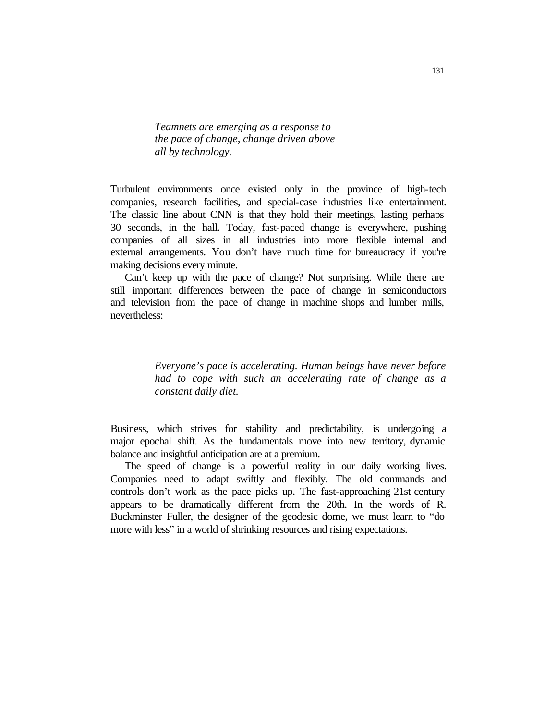*Teamnets are emerging as a response to the pace of change, change driven above all by technology.*

Turbulent environments once existed only in the province of high-tech companies, research facilities, and special-case industries like entertainment. The classic line about CNN is that they hold their meetings, lasting perhaps 30 seconds, in the hall. Today, fast-paced change is everywhere, pushing companies of all sizes in all industries into more flexible internal and external arrangements. You don't have much time for bureaucracy if you're making decisions every minute.

Can't keep up with the pace of change? Not surprising. While there are still important differences between the pace of change in semiconductors and television from the pace of change in machine shops and lumber mills, nevertheless:

> *Everyone's pace is accelerating. Human beings have never before had to cope with such an accelerating rate of change as a constant daily diet.*

Business, which strives for stability and predictability, is undergoing a major epochal shift. As the fundamentals move into new territory, dynamic balance and insightful anticipation are at a premium.

The speed of change is a powerful reality in our daily working lives. Companies need to adapt swiftly and flexibly. The old commands and controls don't work as the pace picks up. The fast-approaching 21st century appears to be dramatically different from the 20th. In the words of R. Buckminster Fuller, the designer of the geodesic dome, we must learn to "do more with less" in a world of shrinking resources and rising expectations.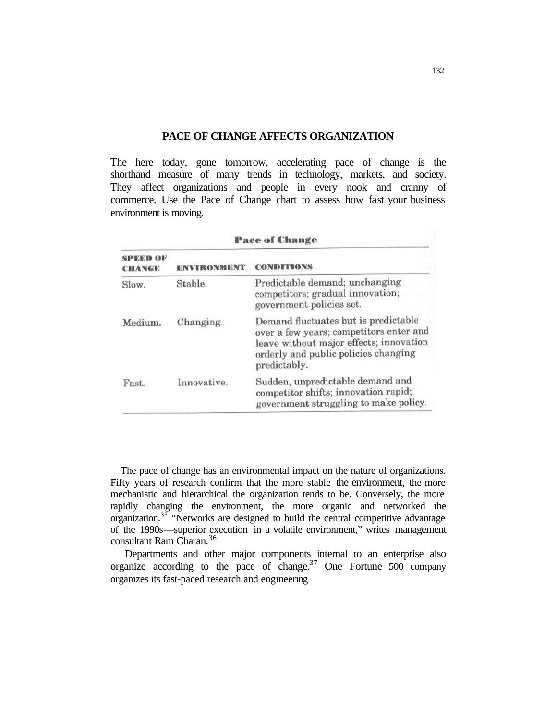## **PACE OF CHANGE AFFECTS ORGANIZATION**

The here today, gone tomorrow, accelerating pace of change is the shorthand measure of many trends in technology, markets, and society. They affect organizations and people in every nook and cranny of commerce. Use the Pace of Change chart to assess how fast your business environment is moving.

|                    | <b>Pace of Change</b> |                                                                                                                                                                                    |  |
|--------------------|-----------------------|------------------------------------------------------------------------------------------------------------------------------------------------------------------------------------|--|
| SPEED OF<br>CHANGE | ENVIRONMENT           | <b>CONDITIONS</b>                                                                                                                                                                  |  |
| Slow.              | Stable.               | Predictable demand; unchanging<br>competitors; gradual innovation;<br>government policies set.                                                                                     |  |
| Medium.            | Changing.             | Demand fluctuates but is predictable<br>over a few years; competitors enter and<br>leave without major effects; innovation<br>orderly and public policies changing<br>predictably. |  |
| Fast.              | Innovative.           | Sudden, unpredictable demand and<br>competitor shifts; innovation rapid;<br>government struggling to make policy.                                                                  |  |

The pace of change has an environmental impact on the nature of organizations. Fifty years of research confirm that the more stable the environment, the more mechanistic and hierarchical the organization tends to be. Conversely, the more rapidly changing the environment, the more organic and networked the organization.<sup>35</sup> "Networks are designed to build the central competitive advantage of the 1990s—superior execution in a volatile environment," writes management consultant Ram Charan.<sup>36</sup>

Departments and other major components internal to an enterprise also organize according to the pace of change.<sup>37</sup> One Fortune  $500$  company organizes its fast-paced research and engineering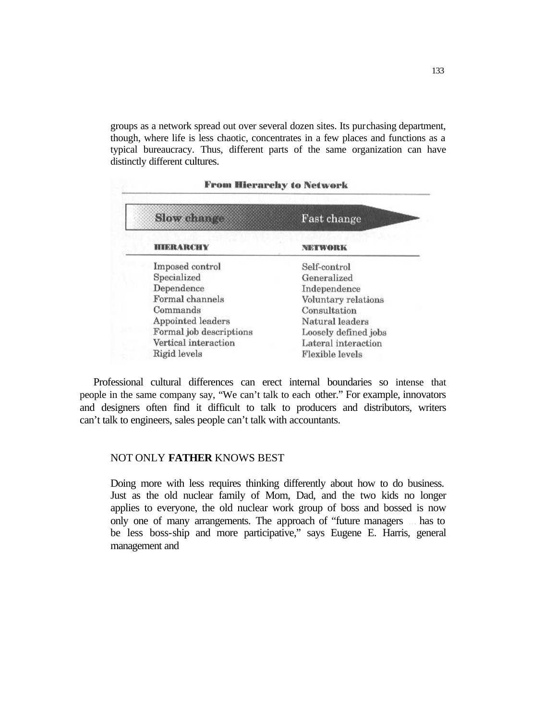groups as a network spread out over several dozen sites. Its purchasing department, though, where life is less chaotic, concentrates in a few places and functions as a typical bureaucracy. Thus, different parts of the same organization can have distinctly different cultures.

## **From Hierarchy to Network**

| <b>Slow</b> change      | Fast change          |
|-------------------------|----------------------|
| <b>HIERARCHY</b>        | NETWORK              |
| Imposed control         | Self-control         |
| Specialized             | Generalized          |
| Dependence              | Independence         |
| Formal channels         | Voluntary relations  |
| Commands                | Consultation         |
| Appointed leaders       | Natural leaders      |
| Formal job descriptions | Loosely defined jobs |
| Vertical interaction    | Lateral interaction  |
| Rigid levels            | Flexible levels      |

Professional cultural differences can erect internal boundaries so intense that people in the same company say, "We can't talk to each other." For example, innovators and designers often find it difficult to talk to producers and distributors, writers can't talk to engineers, sales people can't talk with accountants.

## NOT ONLY **FATHER** KNOWS BEST

Doing more with less requires thinking differently about how to do business. Just as the old nuclear family of Mom, Dad, and the two kids no longer applies to everyone, the old nuclear work group of boss and bossed is now only one of many arrangements. The approach of "future managers ... has to be less boss-ship and more participative," says Eugene E. Harris, general management and